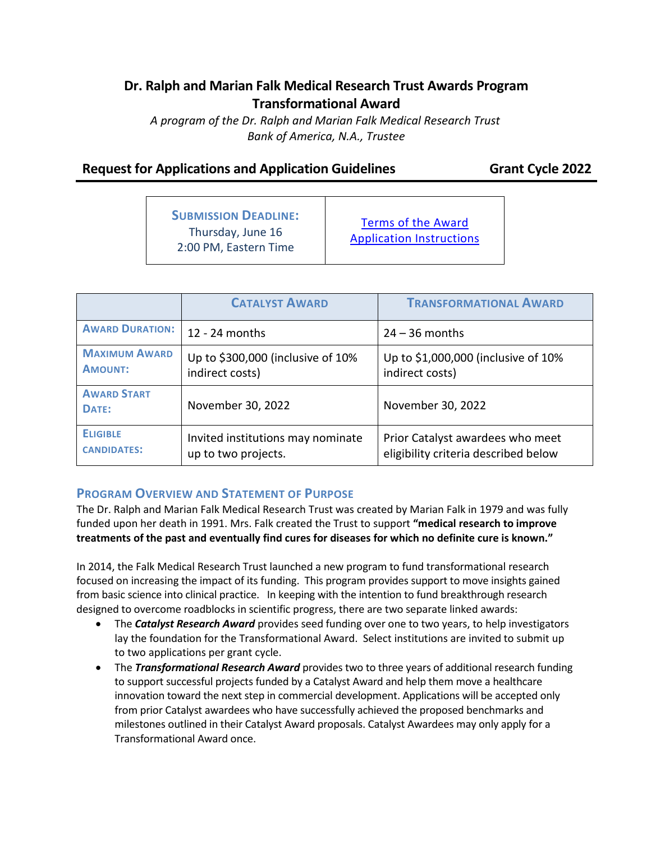# **Dr. Ralph and Marian Falk Medical Research Trust Awards Program Transformational Award**

*A program of the Dr. Ralph and Marian Falk Medical Research Trust Bank of America, N.A., Trustee*

## **Request for Applications and Application Guidelines Grant Cycle 2022**

| <b>SUBMISSION DEADLINE:</b><br>Thursday, June 16<br>2:00 PM, Eastern Time |
|---------------------------------------------------------------------------|
|---------------------------------------------------------------------------|

|                                        | <b>CATALYST AWARD</b>                                    | <b>TRANSFORMATIONAL AWARD</b>                                            |  |  |
|----------------------------------------|----------------------------------------------------------|--------------------------------------------------------------------------|--|--|
| <b>AWARD DURATION:</b>                 | $12 - 24$ months                                         | $24 - 36$ months                                                         |  |  |
| <b>MAXIMUM AWARD</b><br><b>AMOUNT:</b> | Up to \$300,000 (inclusive of 10%<br>indirect costs)     | Up to \$1,000,000 (inclusive of 10%<br>indirect costs)                   |  |  |
| <b>AWARD START</b><br>DATE:            | November 30, 2022                                        | November 30, 2022                                                        |  |  |
| <b>ELIGIBLE</b><br><b>CANDIDATES:</b>  | Invited institutions may nominate<br>up to two projects. | Prior Catalyst awardees who meet<br>eligibility criteria described below |  |  |

## **PROGRAM OVERVIEW AND STATEMENT OF PURPOSE**

The Dr. Ralph and Marian Falk Medical Research Trust was created by Marian Falk in 1979 and was fully funded upon her death in 1991. Mrs. Falk created the Trust to support **"medical research to improve treatments of the past and eventually find cures for diseases for which no definite cure is known."**

In 2014, the Falk Medical Research Trust launched a new program to fund transformational research focused on increasing the impact of its funding. This program provides support to move insights gained from basic science into clinical practice. In keeping with the intention to fund breakthrough research designed to overcome roadblocks in scientific progress, there are two separate linked awards:

- The *Catalyst Research Award* provides seed funding over one to two years, to help investigators lay the foundation for the Transformational Award. Select institutions are invited to submit up to two applications per grant cycle.
- The *Transformational Research Award* provides two to three years of additional research funding to support successful projects funded by a Catalyst Award and help them move a healthcare innovation toward the next step in commercial development. Applications will be accepted only from prior Catalyst awardees who have successfully achieved the proposed benchmarks and milestones outlined in their Catalyst Award proposals. Catalyst Awardees may only apply for a Transformational Award once.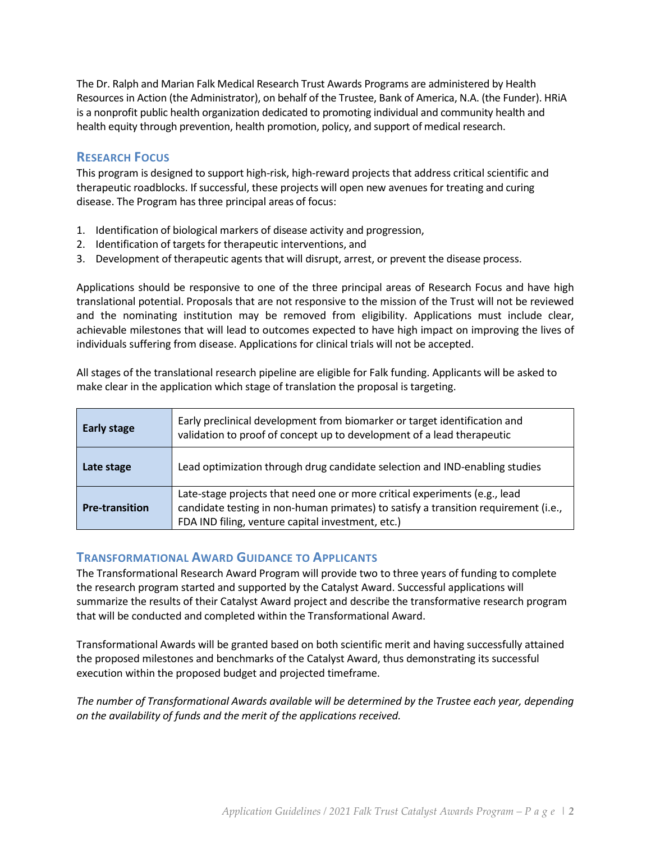The Dr. Ralph and Marian Falk Medical Research Trust Awards Programs are administered by Health Resources in Action (the Administrator), on behalf of the Trustee, Bank of America, N.A. (the Funder). HRiA is a nonprofit public health organization dedicated to promoting individual and community health and health equity through prevention, health promotion, policy, and support of medical research.

## **RESEARCH FOCUS**

This program is designed to support high-risk, high-reward projects that address critical scientific and therapeutic roadblocks. Ifsuccessful, these projects will open new avenues for treating and curing disease. The Program has three principal areas of focus:

- 1. Identification of biological markers of disease activity and progression,
- 2. Identification of targets for therapeutic interventions, and
- 3. Development of therapeutic agents that will disrupt, arrest, or prevent the disease process.

Applications should be responsive to one of the three principal areas of Research Focus and have high translational potential. Proposals that are not responsive to the mission of the Trust will not be reviewed and the nominating institution may be removed from eligibility. Applications must include clear, achievable milestones that will lead to outcomes expected to have high impact on improving the lives of individuals suffering from disease. Applications for clinical trials will not be accepted.

All stages of the translational research pipeline are eligible for Falk funding. Applicants will be asked to make clear in the application which stage of translation the proposal is targeting.

| <b>Early stage</b>    | Early preclinical development from biomarker or target identification and<br>validation to proof of concept up to development of a lead therapeutic                                                                    |
|-----------------------|------------------------------------------------------------------------------------------------------------------------------------------------------------------------------------------------------------------------|
| Late stage            | Lead optimization through drug candidate selection and IND-enabling studies                                                                                                                                            |
| <b>Pre-transition</b> | Late-stage projects that need one or more critical experiments (e.g., lead<br>candidate testing in non-human primates) to satisfy a transition requirement (i.e.,<br>FDA IND filing, venture capital investment, etc.) |

### **TRANSFORMATIONAL AWARD GUIDANCE TO APPLICANTS**

The Transformational Research Award Program will provide two to three years of funding to complete the research program started and supported by the Catalyst Award. Successful applications will summarize the results of their Catalyst Award project and describe the transformative research program that will be conducted and completed within the Transformational Award.

Transformational Awards will be granted based on both scientific merit and having successfully attained the proposed milestones and benchmarks of the Catalyst Award, thus demonstrating its successful execution within the proposed budget and projected timeframe.

*The number of Transformational Awards available will be determined by the Trustee each year, depending on the availability of funds and the merit of the applications received.*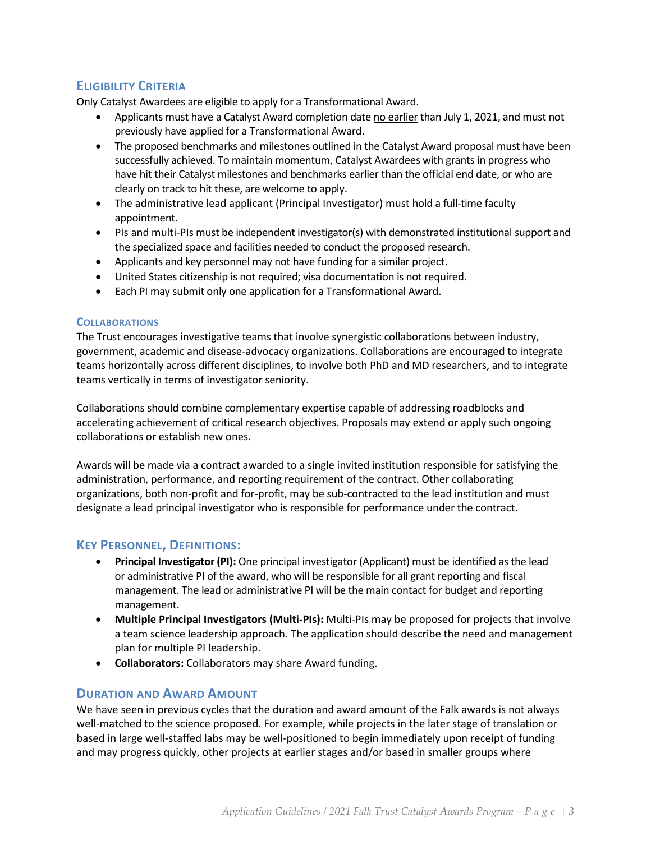## **ELIGIBILITY CRITERIA**

Only Catalyst Awardees are eligible to apply for a Transformational Award.

- Applicants must have a Catalyst Award completion date no earlier than July 1, 2021, and must not previously have applied for a Transformational Award.
- The proposed benchmarks and milestones outlined in the Catalyst Award proposal must have been successfully achieved. To maintain momentum, Catalyst Awardees with grants in progress who have hit their Catalyst milestones and benchmarks earlier than the official end date, or who are clearly on track to hit these, are welcome to apply.
- The administrative lead applicant (Principal Investigator) must hold a full-time faculty appointment.
- PIs and multi-PIs must be independent investigator(s) with demonstrated institutional support and the specialized space and facilities needed to conduct the proposed research.
- Applicants and key personnel may not have funding for a similar project.
- United States citizenship is not required; visa documentation is not required.
- Each PI may submit only one application for a Transformational Award.

### **COLLABORATIONS**

The Trust encourages investigative teams that involve synergistic collaborations between industry, government, academic and disease-advocacy organizations. Collaborations are encouraged to integrate teams horizontally across different disciplines, to involve both PhD and MD researchers, and to integrate teams vertically in terms of investigator seniority.

Collaborations should combine complementary expertise capable of addressing roadblocks and accelerating achievement of critical research objectives. Proposals may extend or apply such ongoing collaborations or establish new ones.

Awards will be made via a contract awarded to a single invited institution responsible for satisfying the administration, performance, and reporting requirement of the contract. Other collaborating organizations, both non-profit and for-profit, may be sub-contracted to the lead institution and must designate a lead principal investigator who is responsible for performance under the contract.

## **KEY PERSONNEL, DEFINITIONS:**

- **Principal Investigator (PI):** One principal investigator (Applicant) must be identified as the lead or administrative PI of the award, who will be responsible for all grant reporting and fiscal management. The lead or administrative PI will be the main contact for budget and reporting management.
- **Multiple Principal Investigators (Multi-PIs):** Multi-PIs may be proposed for projects that involve a team science leadership approach. The application should describe the need and management plan for multiple PI leadership.
- **Collaborators:** Collaborators may share Award funding.

## **DURATION AND AWARD AMOUNT**

We have seen in previous cycles that the duration and award amount of the Falk awards is not always well-matched to the science proposed. For example, while projects in the later stage of translation or based in large well-staffed labs may be well-positioned to begin immediately upon receipt of funding and may progress quickly, other projects at earlier stages and/or based in smaller groups where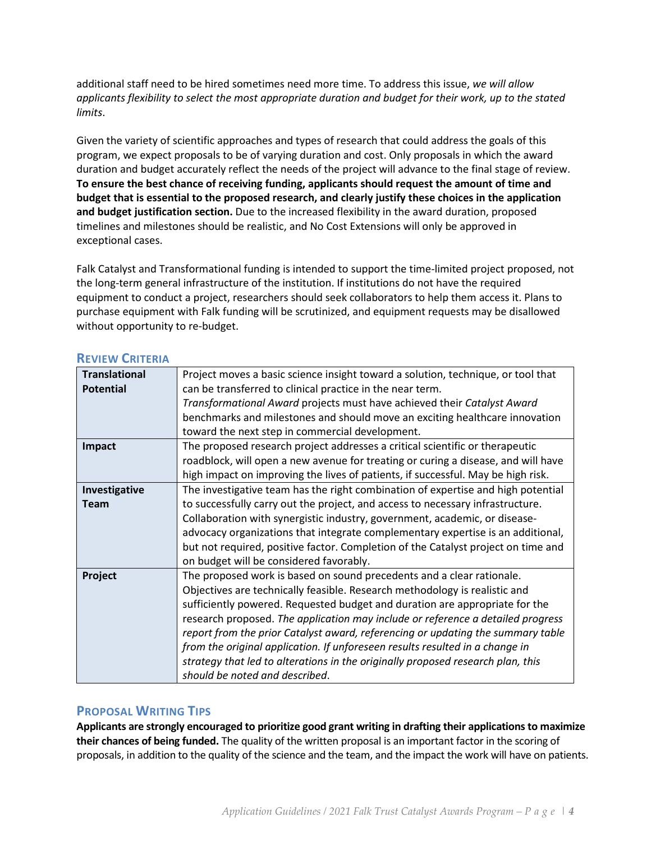additional staff need to be hired sometimes need more time. To address this issue, *we will allow applicants flexibility to select the most appropriate duration and budget for their work, up to the stated limits*.

Given the variety of scientific approaches and types of research that could address the goals of this program, we expect proposals to be of varying duration and cost. Only proposals in which the award duration and budget accurately reflect the needs of the project will advance to the final stage of review. **To ensure the best chance of receiving funding, applicants should request the amount of time and budget that is essential to the proposed research, and clearly justify these choices in the application and budget justification section.** Due to the increased flexibility in the award duration, proposed timelines and milestones should be realistic, and No Cost Extensions will only be approved in exceptional cases.

Falk Catalyst and Transformational funding is intended to support the time-limited project proposed, not the long-term general infrastructure of the institution. If institutions do not have the required equipment to conduct a project, researchers should seek collaborators to help them access it. Plans to purchase equipment with Falk funding will be scrutinized, and equipment requests may be disallowed without opportunity to re-budget.

| <b>Translational</b> | Project moves a basic science insight toward a solution, technique, or tool that  |
|----------------------|-----------------------------------------------------------------------------------|
| <b>Potential</b>     | can be transferred to clinical practice in the near term.                         |
|                      | Transformational Award projects must have achieved their Catalyst Award           |
|                      | benchmarks and milestones and should move an exciting healthcare innovation       |
|                      | toward the next step in commercial development.                                   |
| Impact               | The proposed research project addresses a critical scientific or therapeutic      |
|                      | roadblock, will open a new avenue for treating or curing a disease, and will have |
|                      | high impact on improving the lives of patients, if successful. May be high risk.  |
| Investigative        | The investigative team has the right combination of expertise and high potential  |
| <b>Team</b>          | to successfully carry out the project, and access to necessary infrastructure.    |
|                      | Collaboration with synergistic industry, government, academic, or disease-        |
|                      | advocacy organizations that integrate complementary expertise is an additional,   |
|                      | but not required, positive factor. Completion of the Catalyst project on time and |
|                      | on budget will be considered favorably.                                           |
| Project              | The proposed work is based on sound precedents and a clear rationale.             |
|                      | Objectives are technically feasible. Research methodology is realistic and        |
|                      | sufficiently powered. Requested budget and duration are appropriate for the       |
|                      | research proposed. The application may include or reference a detailed progress   |
|                      | report from the prior Catalyst award, referencing or updating the summary table   |
|                      | from the original application. If unforeseen results resulted in a change in      |
|                      | strategy that led to alterations in the originally proposed research plan, this   |
|                      | should be noted and described.                                                    |

## **REVIEW CRITERIA**

## **PROPOSAL WRITING TIPS**

**Applicants are strongly encouraged to prioritize good grant writing in drafting their applications to maximize their chances of being funded.** The quality of the written proposal is an important factor in the scoring of proposals, in addition to the quality of the science and the team, and the impact the work will have on patients.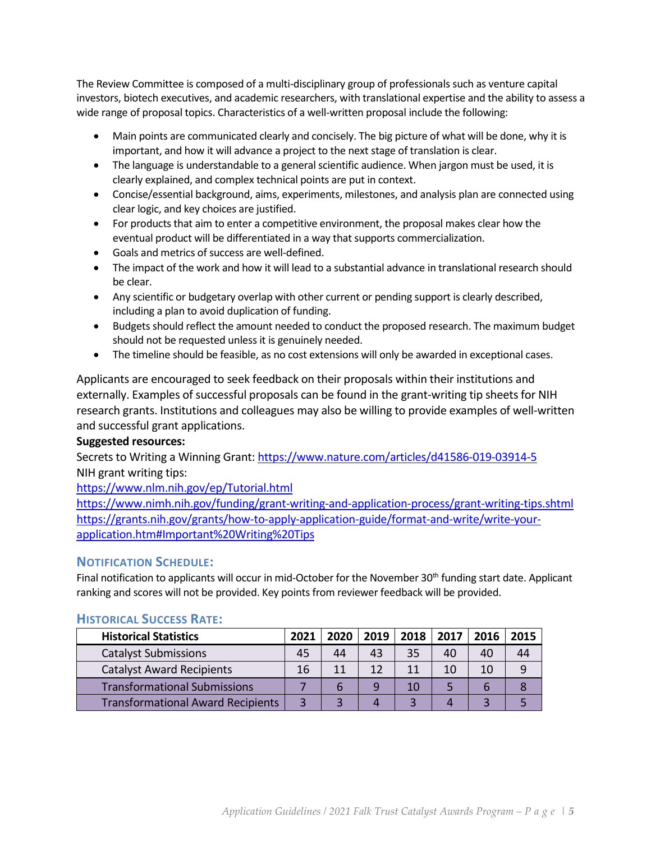The Review Committee is composed of a multi-disciplinary group of professionals such as venture capital investors, biotech executives, and academic researchers, with translational expertise and the ability to assess a wide range of proposal topics. Characteristics of a well-written proposal include the following:

- Main points are communicated clearly and concisely. The big picture of what will be done, why it is important, and how it will advance a project to the next stage of translation is clear.
- The language is understandable to a general scientific audience. When jargon must be used, it is clearly explained, and complex technical points are put in context.
- Concise/essential background, aims, experiments, milestones, and analysis plan are connected using clear logic, and key choices are justified.
- For products that aim to enter a competitive environment, the proposal makes clear how the eventual product will be differentiated in a way that supports commercialization.
- Goals and metrics of success are well-defined.
- The impact of the work and how it will lead to a substantial advance in translational research should be clear.
- Any scientific or budgetary overlap with other current or pending support is clearly described, including a plan to avoid duplication of funding.
- Budgets should reflect the amount needed to conduct the proposed research. The maximum budget should not be requested unless it is genuinely needed.
- The timeline should be feasible, as no cost extensions will only be awarded in exceptional cases.

Applicants are encouraged to seek feedback on their proposals within their institutions and externally. Examples of successful proposals can be found in the grant-writing tip sheets for NIH research grants. Institutions and colleagues may also be willing to provide examples of well-written and successful grant applications.

## **Suggested resources:**

Secrets to Writing a Winning Grant[: https://www.nature.com/articles/d41586-019-03914-5](https://www.nature.com/articles/d41586-019-03914-5) NIH grant writing tips:

<https://www.nlm.nih.gov/ep/Tutorial.html>

<https://www.nimh.nih.gov/funding/grant-writing-and-application-process/grant-writing-tips.shtml> [https://grants.nih.gov/grants/how-to-apply-application-guide/format-and-write/write-your](https://grants.nih.gov/grants/how-to-apply-application-guide/format-and-write/write-your-application.htm#Important%20Writing%20Tips)[application.htm#Important%20Writing%20Tips](https://grants.nih.gov/grants/how-to-apply-application-guide/format-and-write/write-your-application.htm#Important%20Writing%20Tips)

## **NOTIFICATION SCHEDULE:**

Final notification to applicants will occur in mid-October for the November 30<sup>th</sup> funding start date. Applicant ranking and scores will not be provided. Key points from reviewer feedback will be provided.

<span id="page-4-0"></span>

| <b>Historical Statistics</b>             |    | 2020 | 2019 | 2018 2017 |    | 2016 | 2015 |  |  |
|------------------------------------------|----|------|------|-----------|----|------|------|--|--|
| <b>Catalyst Submissions</b>              |    | 44   | 43   | 35        | 40 | 40   | 44   |  |  |
| <b>Catalyst Award Recipients</b>         | 16 | 11   | 12   | 11        | 10 | 10   |      |  |  |
| <b>Transformational Submissions</b>      |    | 6    | a    | 10        |    | 6    |      |  |  |
| <b>Transformational Award Recipients</b> | 3  |      |      |           |    |      |      |  |  |

## **HISTORICAL SUCCESS RATE:**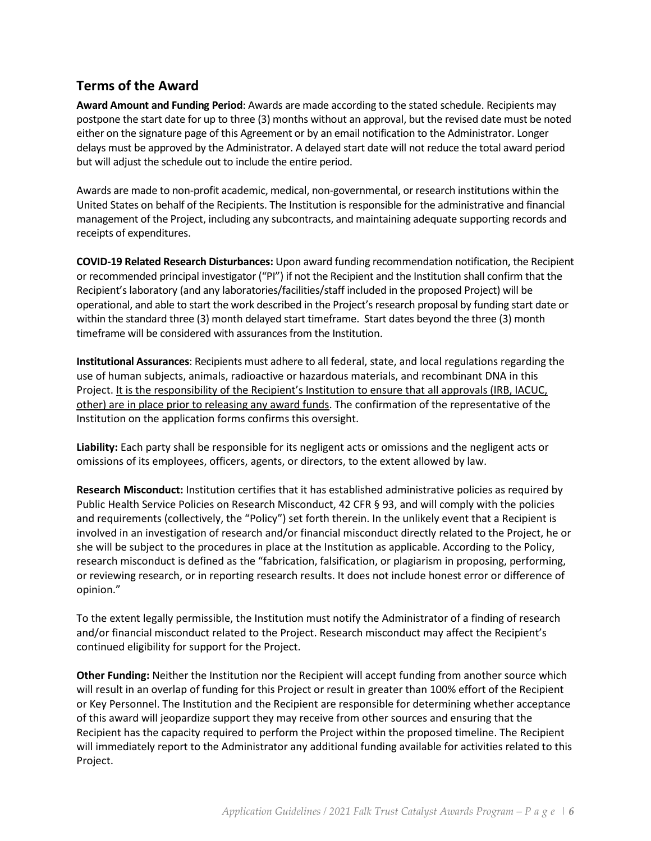# **Terms of the Award**

**Award Amount and Funding Period**: Awards are made according to the stated schedule. Recipients may postpone the start date for up to three (3) months without an approval, but the revised date must be noted either on the signature page of this Agreement or by an email notification to the Administrator. Longer delays must be approved by the Administrator. A delayed start date will not reduce the total award period but will adjust the schedule out to include the entire period.

Awards are made to non-profit academic, medical, non-governmental, or research institutions within the United States on behalf of the Recipients. The Institution is responsible for the administrative and financial management of the Project, including any subcontracts, and maintaining adequate supporting records and receipts of expenditures.

**COVID-19 Related Research Disturbances:** Upon award funding recommendation notification, the Recipient or recommended principal investigator ("PI") if not the Recipient and the Institution shall confirm that the Recipient's laboratory (and any laboratories/facilities/staff included in the proposed Project) will be operational, and able to start the work described in the Project's research proposal by funding start date or within the standard three (3) month delayed start timeframe. Start dates beyond the three (3) month timeframe will be considered with assurances from the Institution.

**Institutional Assurances**: Recipients must adhere to all federal, state, and local regulations regarding the use of human subjects, animals, radioactive or hazardous materials, and recombinant DNA in this Project. It is the responsibility of the Recipient's Institution to ensure that all approvals (IRB, IACUC, other) are in place prior to releasing any award funds. The confirmation of the representative of the Institution on the application forms confirms this oversight.

**Liability:** Each party shall be responsible for its negligent acts or omissions and the negligent acts or omissions of its employees, officers, agents, or directors, to the extent allowed by law.

**Research Misconduct:** Institution certifies that it has established administrative policies as required by Public Health Service Policies on Research Misconduct, 42 CFR § 93, and will comply with the policies and requirements (collectively, the "Policy") set forth therein. In the unlikely event that a Recipient is involved in an investigation of research and/or financial misconduct directly related to the Project, he or she will be subject to the procedures in place at the Institution as applicable. According to the Policy, research misconduct is defined as the "fabrication, falsification, or plagiarism in proposing, performing, or reviewing research, or in reporting research results. It does not include honest error or difference of opinion."

To the extent legally permissible, the Institution must notify the Administrator of a finding of research and/or financial misconduct related to the Project. Research misconduct may affect the Recipient's continued eligibility for support for the Project.

**Other Funding:** Neither the Institution nor the Recipient will accept funding from another source which will result in an overlap of funding for this Project or result in greater than 100% effort of the Recipient or Key Personnel. The Institution and the Recipient are responsible for determining whether acceptance of this award will jeopardize support they may receive from other sources and ensuring that the Recipient has the capacity required to perform the Project within the proposed timeline. The Recipient will immediately report to the Administrator any additional funding available for activities related to this Project.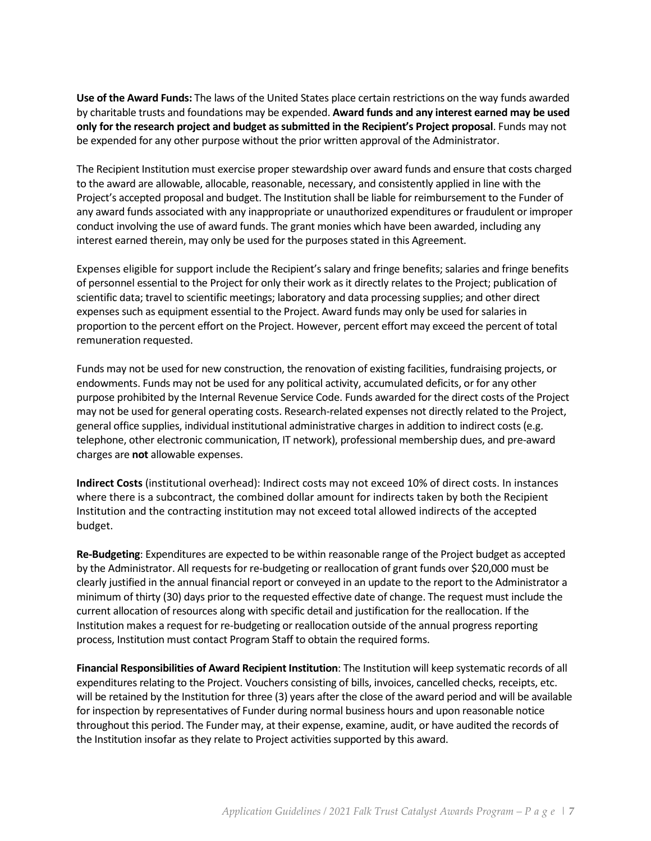**Use of the Award Funds:** The laws of the United States place certain restrictions on the way funds awarded by charitable trusts and foundations may be expended. **Award funds and any interest earned may be used only for the research project and budget as submitted in the Recipient's Project proposal**. Funds may not be expended for any other purpose without the prior written approval of the Administrator.

The Recipient Institution must exercise proper stewardship over award funds and ensure that costs charged to the award are allowable, allocable, reasonable, necessary, and consistently applied in line with the Project's accepted proposal and budget. The Institution shall be liable for reimbursement to the Funder of any award funds associated with any inappropriate or unauthorized expenditures or fraudulent or improper conduct involving the use of award funds. The grant monies which have been awarded, including any interest earned therein, may only be used for the purposes stated in this Agreement.

Expenses eligible for support include the Recipient's salary and fringe benefits; salaries and fringe benefits of personnel essential to the Project for only their work as it directly relates to the Project; publication of scientific data; travel to scientific meetings; laboratory and data processing supplies; and other direct expenses such as equipment essential to the Project. Award funds may only be used for salaries in proportion to the percent effort on the Project. However, percent effort may exceed the percent of total remuneration requested.

Funds may not be used for new construction, the renovation of existing facilities, fundraising projects, or endowments. Funds may not be used for any political activity, accumulated deficits, or for any other purpose prohibited by the Internal Revenue Service Code. Funds awarded for the direct costs of the Project may not be used for general operating costs. Research-related expenses not directly related to the Project, general office supplies, individual institutional administrative charges in addition to indirect costs (e.g. telephone, other electronic communication, IT network), professional membership dues, and pre-award charges are **not** allowable expenses.

**Indirect Costs** (institutional overhead): Indirect costs may not exceed 10% of direct costs. In instances where there is a subcontract, the combined dollar amount for indirects taken by both the Recipient Institution and the contracting institution may not exceed total allowed indirects of the accepted budget.

**Re-Budgeting**: Expenditures are expected to be within reasonable range of the Project budget as accepted by the Administrator. All requests for re-budgeting or reallocation of grant funds over \$20,000 must be clearly justified in the annual financial report or conveyed in an update to the report to the Administrator a minimum of thirty (30) days prior to the requested effective date of change. The request must include the current allocation of resources along with specific detail and justification for the reallocation. If the Institution makes a request for re-budgeting or reallocation outside of the annual progress reporting process, Institution must contact Program Staff to obtain the required forms.

**Financial Responsibilities of Award Recipient Institution**: The Institution will keep systematic records of all expenditures relating to the Project. Vouchers consisting of bills, invoices, cancelled checks, receipts, etc. will be retained by the Institution for three (3) years after the close of the award period and will be available for inspection by representatives of Funder during normal business hours and upon reasonable notice throughout this period. The Funder may, at their expense, examine, audit, or have audited the records of the Institution insofar as they relate to Project activities supported by this award.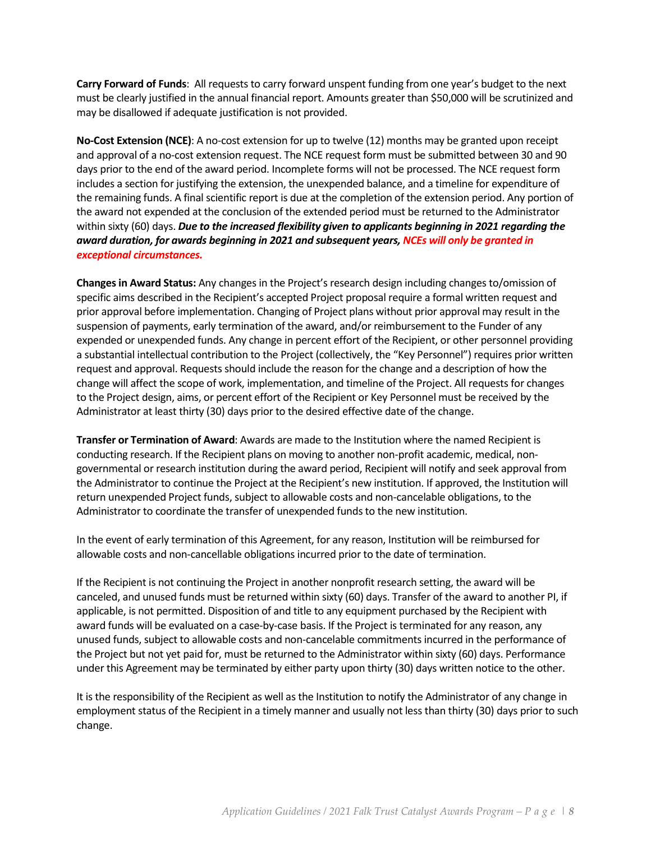**Carry Forward of Funds**: All requests to carry forward unspent funding from one year's budget to the next must be clearly justified in the annual financial report. Amounts greater than \$50,000 will be scrutinized and may be disallowed if adequate justification is not provided.

**No-Cost Extension (NCE)**: A no-cost extension for up to twelve (12) months may be granted upon receipt and approval of a no-cost extension request. The NCE request form must be submitted between 30 and 90 days prior to the end of the award period. Incomplete forms will not be processed. The NCE request form includes a section for justifying the extension, the unexpended balance, and a timeline for expenditure of the remaining funds. A final scientific report is due at the completion of the extension period. Any portion of the award not expended at the conclusion of the extended period must be returned to the Administrator within sixty (60) days. *Due to the increased flexibility given to applicants beginning in 2021 regarding the award duration, for awards beginning in 2021 and subsequent years, NCEs will only be granted in exceptional circumstances.*

**Changes in Award Status:** Any changes in the Project's research design including changes to/omission of specific aims described in the Recipient's accepted Project proposal require a formal written request and prior approval before implementation. Changing of Project plans without prior approval may result in the suspension of payments, early termination of the award, and/or reimbursement to the Funder of any expended or unexpended funds. Any change in percent effort of the Recipient, or other personnel providing a substantial intellectual contribution to the Project (collectively, the "Key Personnel") requires prior written request and approval. Requests should include the reason for the change and a description of how the change will affect the scope of work, implementation, and timeline of the Project. All requests for changes to the Project design, aims, or percent effort of the Recipient or Key Personnel must be received by the Administrator at least thirty (30) days prior to the desired effective date of the change.

**Transfer or Termination of Award**: Awards are made to the Institution where the named Recipient is conducting research. If the Recipient plans on moving to another non-profit academic, medical, nongovernmental or research institution during the award period, Recipient will notify and seek approval from the Administrator to continue the Project at the Recipient's new institution. If approved, the Institution will return unexpended Project funds, subject to allowable costs and non-cancelable obligations, to the Administrator to coordinate the transfer of unexpended funds to the new institution.

In the event of early termination of this Agreement, for any reason, Institution will be reimbursed for allowable costs and non-cancellable obligations incurred prior to the date of termination.

If the Recipient is not continuing the Project in another nonprofit research setting, the award will be canceled, and unused funds must be returned within sixty (60) days. Transfer of the award to another PI, if applicable, is not permitted. Disposition of and title to any equipment purchased by the Recipient with award funds will be evaluated on a case-by-case basis. If the Project is terminated for any reason, any unused funds, subject to allowable costs and non-cancelable commitments incurred in the performance of the Project but not yet paid for, must be returned to the Administrator within sixty (60) days. Performance under this Agreement may be terminated by either party upon thirty (30) days written notice to the other.

It is the responsibility of the Recipient as well as the Institution to notify the Administrator of any change in employment status of the Recipient in a timely manner and usually not less than thirty (30) days prior to such change.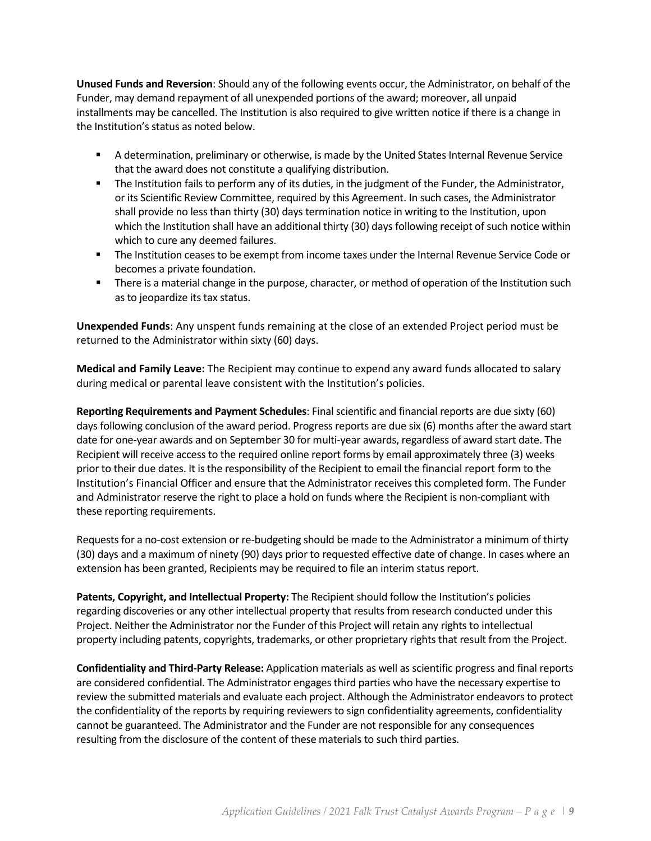**Unused Funds and Reversion**: Should any of the following events occur, the Administrator, on behalf of the Funder, may demand repayment of all unexpended portions of the award; moreover, all unpaid installments may be cancelled. The Institution is also required to give written notice if there is a change in the Institution's status as noted below.

- A determination, preliminary or otherwise, is made by the United States Internal Revenue Service that the award does not constitute a qualifying distribution.
- **The Institution fails to perform any of its duties, in the judgment of the Funder, the Administrator,** or its Scientific Review Committee, required by this Agreement. In such cases, the Administrator shall provide no less than thirty (30) days termination notice in writing to the Institution, upon which the Institution shall have an additional thirty (30) days following receipt of such notice within which to cure any deemed failures.
- The Institution ceases to be exempt from income taxes under the Internal Revenue Service Code or becomes a private foundation.
- There is a material change in the purpose, character, or method of operation of the Institution such as to jeopardize its tax status.

**Unexpended Funds**: Any unspent funds remaining at the close of an extended Project period must be returned to the Administrator within sixty (60) days.

**Medical and Family Leave:** The Recipient may continue to expend any award funds allocated to salary during medical or parental leave consistent with the Institution's policies.

**Reporting Requirements and Payment Schedules**: Final scientific and financial reports are due sixty (60) days following conclusion of the award period. Progress reports are due six (6) months after the award start date for one-year awards and on September 30 for multi-year awards, regardless of award start date. The Recipient will receive access to the required online report forms by email approximately three (3) weeks prior to their due dates. It is the responsibility of the Recipient to email the financial report form to the Institution's Financial Officer and ensure that the Administrator receives this completed form. The Funder and Administrator reserve the right to place a hold on funds where the Recipient is non-compliant with these reporting requirements.

Requests for a no-cost extension or re-budgeting should be made to the Administrator a minimum of thirty (30) days and a maximum of ninety (90) days prior to requested effective date of change. In cases where an extension has been granted, Recipients may be required to file an interim status report.

**Patents, Copyright, and Intellectual Property:** The Recipient should follow the Institution's policies regarding discoveries or any other intellectual property that results from research conducted under this Project. Neither the Administrator nor the Funder of this Project will retain any rights to intellectual property including patents, copyrights, trademarks, or other proprietary rights that result from the Project.

**Confidentiality and Third-Party Release:** Application materials as well as scientific progress and final reports are considered confidential. The Administrator engages third parties who have the necessary expertise to review the submitted materials and evaluate each project. Although the Administrator endeavors to protect the confidentiality of the reports by requiring reviewers to sign confidentiality agreements, confidentiality cannot be guaranteed. The Administrator and the Funder are not responsible for any consequences resulting from the disclosure of the content of these materials to such third parties.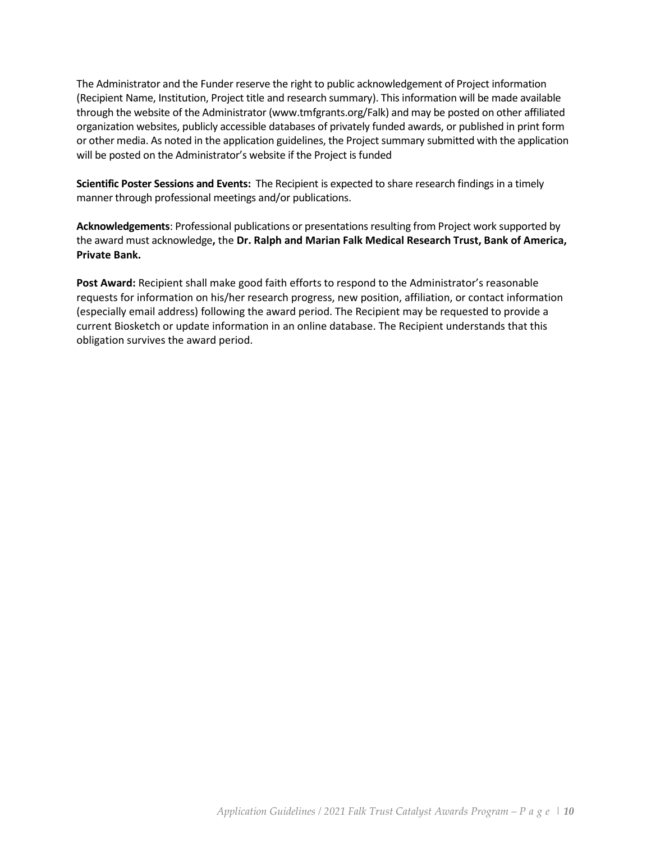The Administrator and the Funder reserve the right to public acknowledgement of Project information (Recipient Name, Institution, Project title and research summary). This information will be made available through the website of the Administrator (www.tmfgrants.org/Falk) and may be posted on other affiliated organization websites, publicly accessible databases of privately funded awards, or published in print form or other media. As noted in the application guidelines, the Project summary submitted with the application will be posted on the Administrator's website if the Project is funded

**Scientific Poster Sessions and Events:** The Recipient is expected to share research findings in a timely manner through professional meetings and/or publications.

**Acknowledgements**: Professional publications or presentations resulting from Project work supported by the award must acknowledge**,** the **Dr. Ralph and Marian Falk Medical Research Trust, Bank of America, Private Bank.**

**Post Award:** Recipient shall make good faith efforts to respond to the Administrator's reasonable requests for information on his/her research progress, new position, affiliation, or contact information (especially email address) following the award period. The Recipient may be requested to provide a current Biosketch or update information in an online database. The Recipient understands that this obligation survives the award period.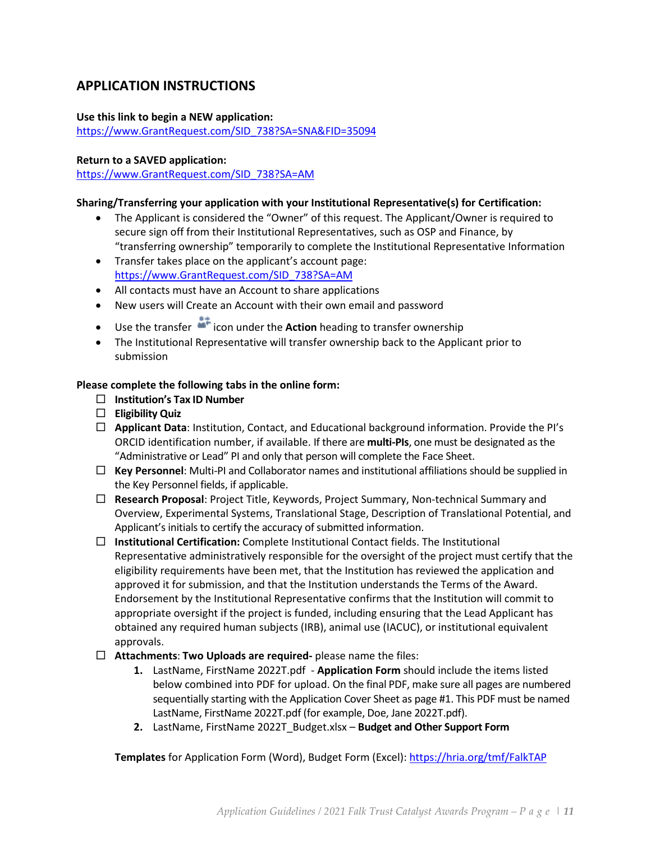# <span id="page-10-0"></span>**APPLICATION INSTRUCTIONS**

#### **Use this link to begin a NEW application:**

[https://www.GrantRequest.com/SID\\_738?SA=SNA&FID=35094](https://www.grantrequest.com/SID_738?SA=SNA&FID=35094)

#### **Return to a SAVED application:**

[https://www.GrantRequest.com/SID\\_738?SA=AM](https://www.grantrequest.com/SID_738?SA=AM)

#### **Sharing/Transferring your application with your Institutional Representative(s) for Certification:**

- The Applicant is considered the "Owner" of this request. The Applicant/Owner is required to secure sign off from their Institutional Representatives, such as OSP and Finance, by "transferring ownership" temporarily to complete the Institutional Representative Information
- Transfer takes place on the applicant's account page: [https://www.GrantRequest.com/SID\\_738?SA=AM](https://www.grantrequest.com/SID_738?SA=AM)
- All contacts must have an Account to share applications
- New users will Create an Account with their own email and password
- Use the transfer icon under the **Action** heading to transfer ownership
- The Institutional Representative will transfer ownership back to the Applicant prior to submission

### **Please complete the following tabs in the online form:**

- **Institution's Tax ID Number**
- **Eligibility Quiz**
- **Applicant Data**: Institution, Contact, and Educational background information. Provide the PI's ORCID identification number, if available. If there are **multi-PIs**, one must be designated as the "Administrative or Lead" PI and only that person will complete the Face Sheet.
- **Key Personnel**: Multi-PI and Collaborator names and institutional affiliations should be supplied in the Key Personnel fields, if applicable.
- **Research Proposal**: Project Title, Keywords, Project Summary, Non-technical Summary and Overview, Experimental Systems, Translational Stage, Description of Translational Potential, and Applicant's initials to certify the accuracy of submitted information.
- **Institutional Certification:** Complete Institutional Contact fields. The Institutional Representative administratively responsible for the oversight of the project must certify that the eligibility requirements have been met, that the Institution has reviewed the application and approved it for submission, and that the Institution understands the Terms of the Award. Endorsement by the Institutional Representative confirms that the Institution will commit to appropriate oversight if the project is funded, including ensuring that the Lead Applicant has obtained any required human subjects (IRB), animal use (IACUC), or institutional equivalent approvals.
- **Attachments**: **Two Uploads are required-** please name the files:
	- **1.** LastName, FirstName 2022T.pdf **Application Form** should include the items listed below combined into PDF for upload. On the final PDF, make sure all pages are numbered sequentially starting with the Application Cover Sheet as page #1. This PDF must be named LastName, FirstName 2022T.pdf (for example, Doe, Jane 2022T.pdf).
	- **2.** LastName, FirstName 2022T\_Budget.xlsx **Budget and Other Support Form**

**Templates** for Application Form (Word), Budget Form (Excel): <https://hria.org/tmf/FalkTAP>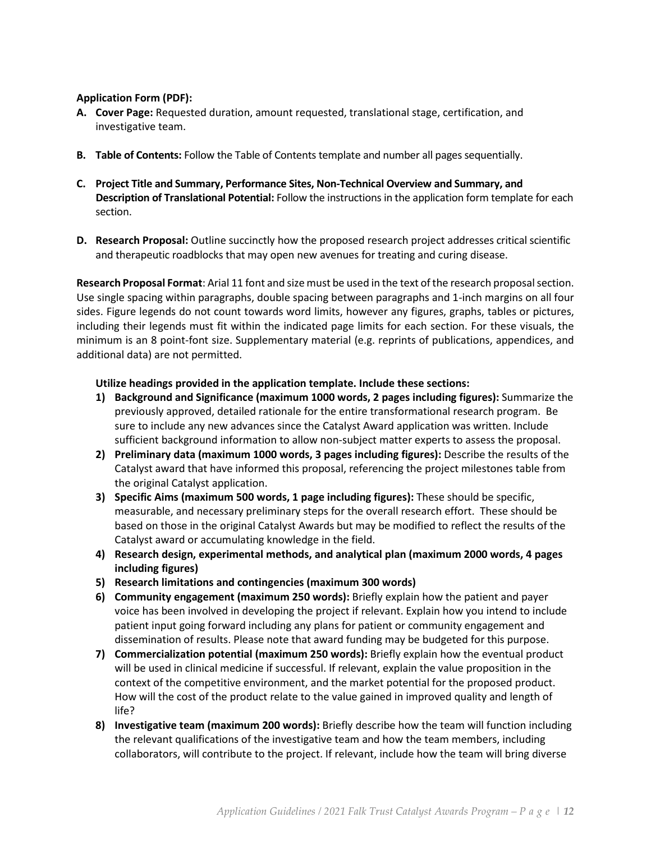### **Application Form (PDF):**

- **A. Cover Page:** Requested duration, amount requested, translational stage, certification, and investigative team.
- **B. Table of Contents:** Follow the Table of Contents template and number all pages sequentially.
- **C. Project Title and Summary, Performance Sites, Non-Technical Overview and Summary, and Description of Translational Potential:** Follow the instructions in the application form template for each section.
- **D. Research Proposal:** Outline succinctly how the proposed research project addresses critical scientific and therapeutic roadblocks that may open new avenues for treating and curing disease.

**Research Proposal Format**: Arial 11 font and size must be used in the text of the research proposal section. Use single spacing within paragraphs, double spacing between paragraphs and 1-inch margins on all four sides. Figure legends do not count towards word limits, however any figures, graphs, tables or pictures, including their legends must fit within the indicated page limits for each section. For these visuals, the minimum is an 8 point-font size. Supplementary material (e.g. reprints of publications, appendices, and additional data) are not permitted.

### **Utilize headings provided in the application template. Include these sections:**

- **1) Background and Significance (maximum 1000 words, 2 pages including figures):** Summarize the previously approved, detailed rationale for the entire transformational research program. Be sure to include any new advances since the Catalyst Award application was written. Include sufficient background information to allow non-subject matter experts to assess the proposal.
- **2) Preliminary data (maximum 1000 words, 3 pages including figures):** Describe the results of the Catalyst award that have informed this proposal, referencing the project milestones table from the original Catalyst application.
- **3) Specific Aims (maximum 500 words, 1 page including figures):** These should be specific, measurable, and necessary preliminary steps for the overall research effort. These should be based on those in the original Catalyst Awards but may be modified to reflect the results of the Catalyst award or accumulating knowledge in the field.
- **4) Research design, experimental methods, and analytical plan (maximum 2000 words, 4 pages including figures)**
- **5) Research limitations and contingencies (maximum 300 words)**
- **6) Community engagement (maximum 250 words):** Briefly explain how the patient and payer voice has been involved in developing the project if relevant. Explain how you intend to include patient input going forward including any plans for patient or community engagement and dissemination of results. Please note that award funding may be budgeted for this purpose.
- **7) Commercialization potential (maximum 250 words):** Briefly explain how the eventual product will be used in clinical medicine if successful. If relevant, explain the value proposition in the context of the competitive environment, and the market potential for the proposed product. How will the cost of the product relate to the value gained in improved quality and length of life?
- **8) Investigative team (maximum 200 words):** Briefly describe how the team will function including the relevant qualifications of the investigative team and how the team members, including collaborators, will contribute to the project. If relevant, include how the team will bring diverse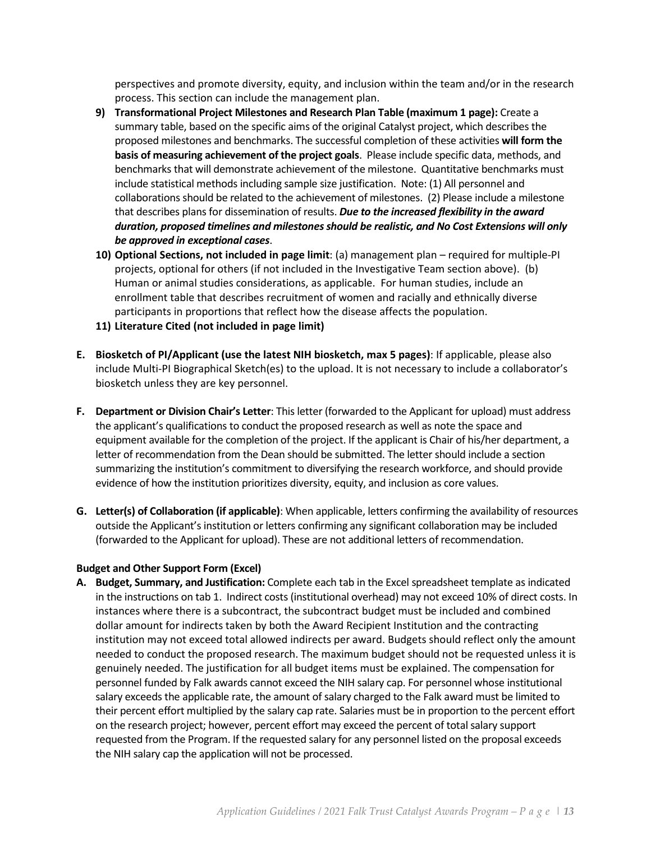perspectives and promote diversity, equity, and inclusion within the team and/or in the research process. This section can include the management plan.

- **9) Transformational Project Milestones and Research Plan Table (maximum 1 page):** Create a summary table, based on the specific aims of the original Catalyst project, which describes the proposed milestones and benchmarks. The successful completion of these activities **will form the basis of measuring achievement of the project goals**. Please include specific data, methods, and benchmarks that will demonstrate achievement of the milestone. Quantitative benchmarks must include statistical methods including sample size justification. Note: (1) All personnel and collaborations should be related to the achievement of milestones. (2) Please include a milestone that describes plans for dissemination of results. *Due to the increased flexibility in the award duration, proposed timelines and milestones should be realistic, and No Cost Extensions will only be approved in exceptional cases*.
- **10) Optional Sections, not included in page limit**: (a) management plan required for multiple-PI projects, optional for others (if not included in the Investigative Team section above). (b) Human or animal studies considerations, as applicable. For human studies, include an enrollment table that describes recruitment of women and racially and ethnically diverse participants in proportions that reflect how the disease affects the population.
- **11) Literature Cited (not included in page limit)**
- **E. Biosketch of PI/Applicant (use the latest NIH biosketch, max 5 pages)**: If applicable, please also include Multi-PI Biographical Sketch(es) to the upload. It is not necessary to include a collaborator's biosketch unless they are key personnel.
- **F. Department or Division Chair's Letter**: This letter (forwarded to the Applicant for upload) must address the applicant's qualifications to conduct the proposed research as well as note the space and equipment available for the completion of the project. If the applicant is Chair of his/her department, a letter of recommendation from the Dean should be submitted. The letter should include a section summarizing the institution's commitment to diversifying the research workforce, and should provide evidence of how the institution prioritizes diversity, equity, and inclusion as core values.
- **G. Letter(s) of Collaboration (if applicable)**: When applicable, letters confirming the availability of resources outside the Applicant's institution or letters confirming any significant collaboration may be included (forwarded to the Applicant for upload). These are not additional letters of recommendation.

#### **Budget and Other Support Form (Excel)**

**A. Budget, Summary, and Justification:** Complete each tab in the Excel spreadsheet template as indicated in the instructions on tab 1. Indirect costs (institutional overhead) may not exceed 10% of direct costs. In instances where there is a subcontract, the subcontract budget must be included and combined dollar amount for indirects taken by both the Award Recipient Institution and the contracting institution may not exceed total allowed indirects per award. Budgets should reflect only the amount needed to conduct the proposed research. The maximum budget should not be requested unless it is genuinely needed. The justification for all budget items must be explained. The compensation for personnel funded by Falk awards cannot exceed the NIH salary cap. For personnel whose institutional salary exceeds the applicable rate, the amount of salary charged to the Falk award must be limited to their percent effort multiplied by the salary cap rate. Salaries must be in proportion to the percent effort on the research project; however, percent effort may exceed the percent of total salary support requested from the Program. If the requested salary for any personnel listed on the proposal exceeds the NIH salary cap the application will not be processed.